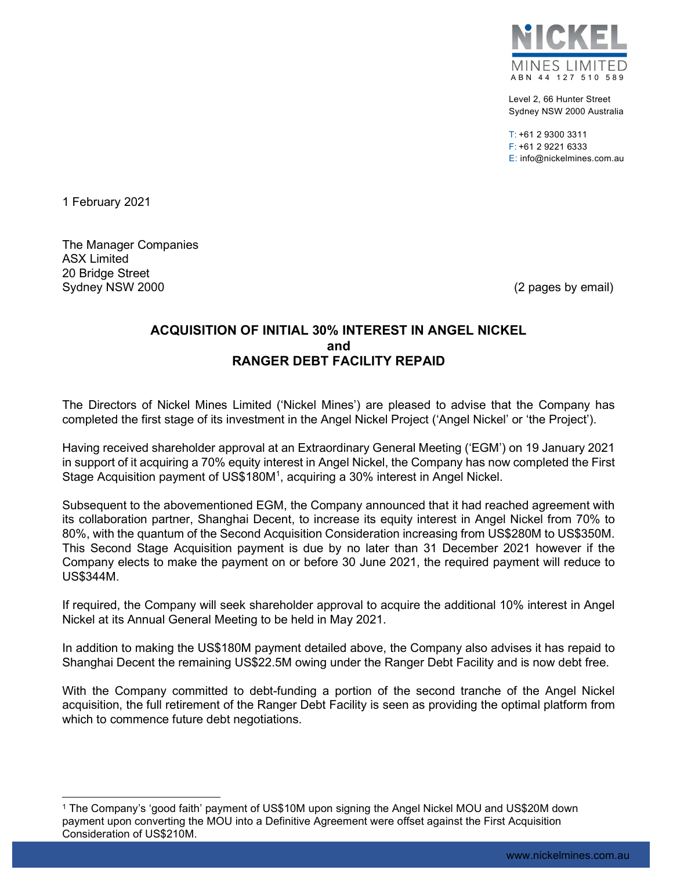

Level 2, 66 Hunter Street Sydney NSW 2000 Australia

 $T: +61$  2 9300 3311 F: +61 2 9221 6333 E: info@nickelmines.com.au

1 February 2021

The Manager Companies ASX Limited 20 Bridge Street Sydney NSW 2000 (2 pages by email)

## ACQUISITION OF INITIAL 30% INTEREST IN ANGEL NICKEL and RANGER DEBT FACILITY REPAID

The Directors of Nickel Mines Limited ('Nickel Mines') are pleased to advise that the Company has completed the first stage of its investment in the Angel Nickel Project ('Angel Nickel' or 'the Project').

Having received shareholder approval at an Extraordinary General Meeting ('EGM') on 19 January 2021 in support of it acquiring a 70% equity interest in Angel Nickel, the Company has now completed the First Stage Acquisition payment of US\$180M<sup>1</sup>, acquiring a 30% interest in Angel Nickel.

Subsequent to the abovementioned EGM, the Company announced that it had reached agreement with its collaboration partner, Shanghai Decent, to increase its equity interest in Angel Nickel from 70% to 80%, with the quantum of the Second Acquisition Consideration increasing from US\$280M to US\$350M. This Second Stage Acquisition payment is due by no later than 31 December 2021 however if the Company elects to make the payment on or before 30 June 2021, the required payment will reduce to US\$344M.

If required, the Company will seek shareholder approval to acquire the additional 10% interest in Angel Nickel at its Annual General Meeting to be held in May 2021.

In addition to making the US\$180M payment detailed above, the Company also advises it has repaid to Shanghai Decent the remaining US\$22.5M owing under the Ranger Debt Facility and is now debt free.

With the Company committed to debt-funding a portion of the second tranche of the Angel Nickel acquisition, the full retirement of the Ranger Debt Facility is seen as providing the optimal platform from which to commence future debt negotiations.

<sup>1</sup> The Company's 'good faith' payment of US\$10M upon signing the Angel Nickel MOU and US\$20M down payment upon converting the MOU into a Definitive Agreement were offset against the First Acquisition Consideration of US\$210M.